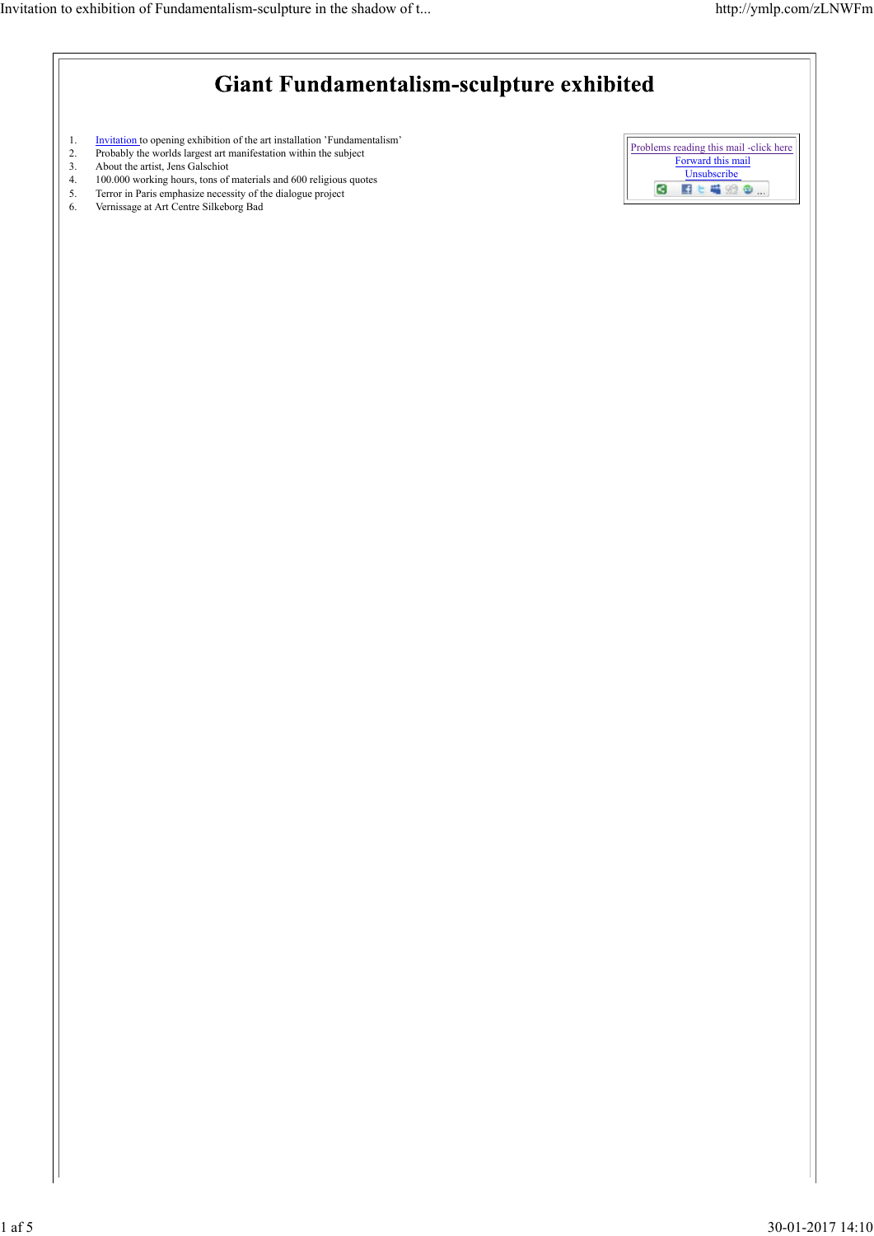| <b>Giant Fundamentalism-sculpture exhibited</b> |                                                                                                                                                                                                                                                                                                                                                                 |                                                                                          |
|-------------------------------------------------|-----------------------------------------------------------------------------------------------------------------------------------------------------------------------------------------------------------------------------------------------------------------------------------------------------------------------------------------------------------------|------------------------------------------------------------------------------------------|
| 1.<br>2.<br>3.<br>4.<br>5.<br>6.                | Invitation to opening exhibition of the art installation 'Fundamentalism'<br>Probably the worlds largest art manifestation within the subject<br>About the artist, Jens Galschiot<br>100.000 working hours, tons of materials and 600 religious quotes<br>Terror in Paris emphasize necessity of the dialogue project<br>Vernissage at Art Centre Silkeborg Bad | Problems reading this mail -click here<br>Forward this mail<br>Unsubscribe<br>G<br>日上喝的2 |
|                                                 |                                                                                                                                                                                                                                                                                                                                                                 |                                                                                          |
|                                                 |                                                                                                                                                                                                                                                                                                                                                                 |                                                                                          |
|                                                 |                                                                                                                                                                                                                                                                                                                                                                 |                                                                                          |
|                                                 |                                                                                                                                                                                                                                                                                                                                                                 |                                                                                          |
|                                                 |                                                                                                                                                                                                                                                                                                                                                                 |                                                                                          |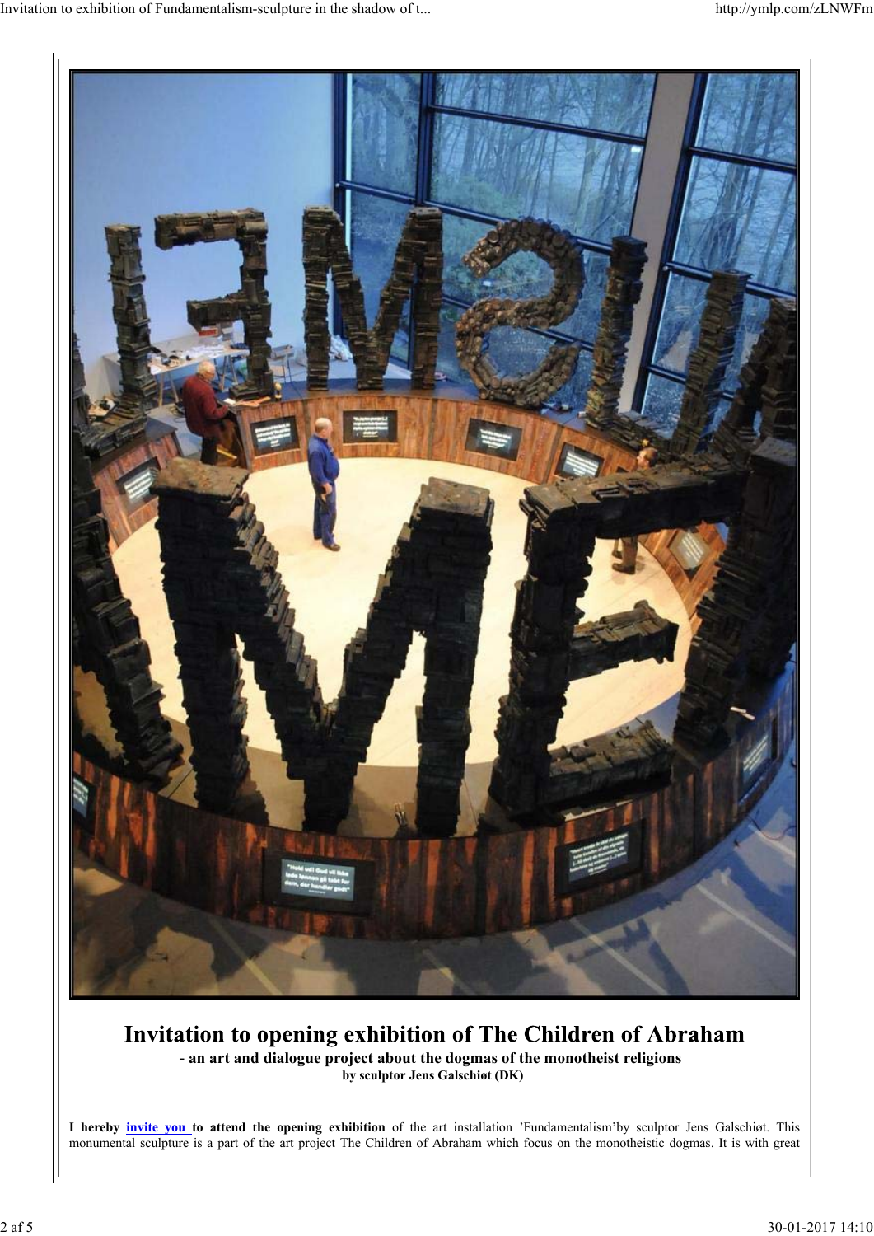

### Invitation to opening exhibition of The Children of Abraham **- an art and dialogue project about the dogmas of the monotheist religions by sculptor Jens Galschiøt (DK)**

**I hereby invite you to attend the opening exhibition** of the art installation 'Fundamentalism'by sculptor Jens Galschiøt. This monumental sculpture is a part of the art project The Children of Abraham which focus on the monotheistic dogmas. It is with great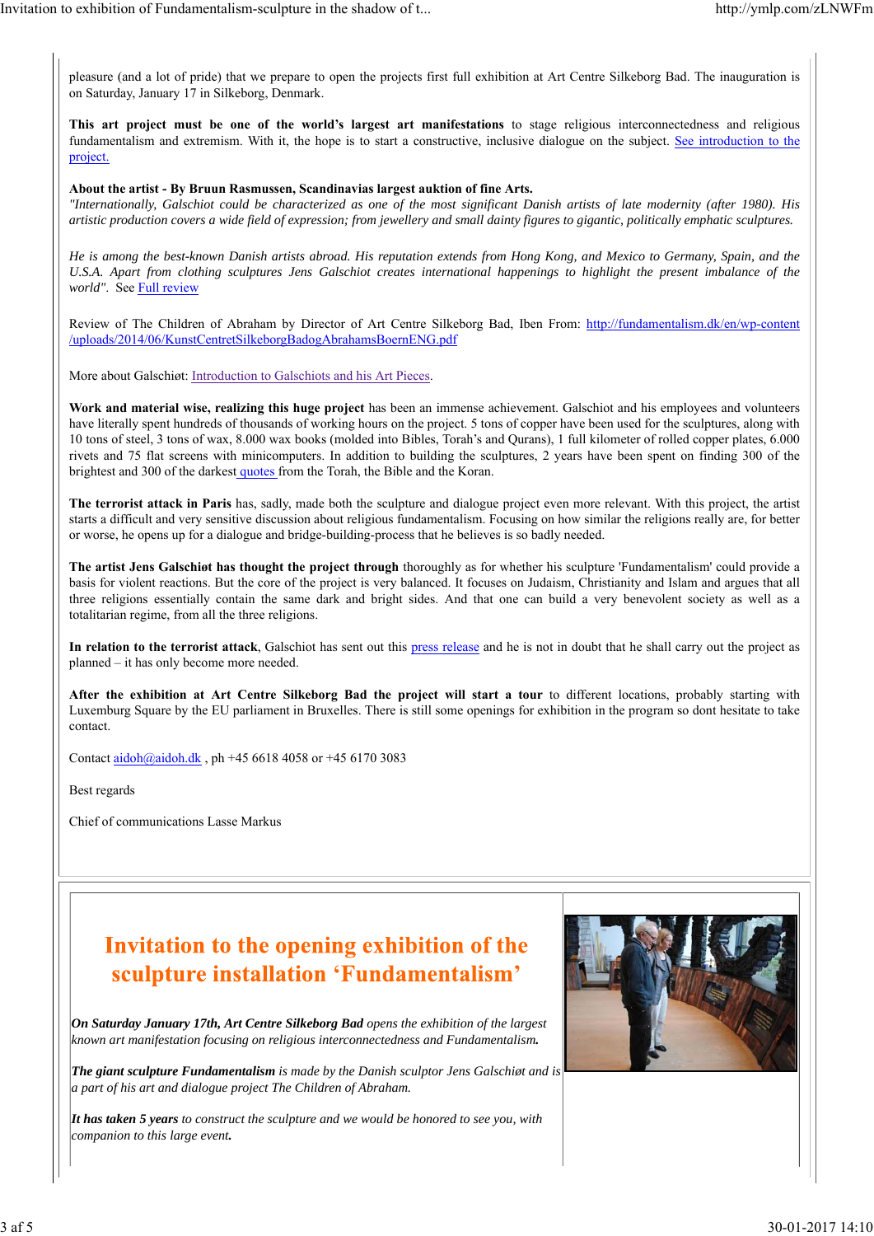pleasure (and a lot of pride) that we prepare to open the projects first full exhibition at Art Centre Silkeborg Bad. The inauguration is on Saturday, January 17 in Silkeborg, Denmark.

**This art project must be one of the world's largest art manifestations** to stage religious interconnectedness and religious fundamentalism and extremism. With it, the hope is to start a constructive, inclusive dialogue on the subject. See introduction to the project.

#### **About the artist - By Bruun Rasmussen, Scandinavias largest auktion of fine Arts.**

*"Internationally, Galschiot could be characterized as one of the most significant Danish artists of late modernity (after 1980). His artistic production covers a wide field of expression; from jewellery and small dainty figures to gigantic, politically emphatic sculptures.*

*He is among the best-known Danish artists abroad. His reputation extends from Hong Kong, and Mexico to Germany, Spain, and the U.S.A. Apart from clothing sculptures Jens Galschiot creates international happenings to highlight the present imbalance of the world"*. See Full review

Review of The Children of Abraham by Director of Art Centre Silkeborg Bad, Iben From: http://fundamentalism.dk/en/wp-content /uploads/2014/06/KunstCentretSilkeborgBadogAbrahamsBoernENG.pdf

More about Galschiøt: Introduction to Galschiots and his Art Pieces.

**Work and material wise, realizing this huge project** has been an immense achievement. Galschiot and his employees and volunteers have literally spent hundreds of thousands of working hours on the project. 5 tons of copper have been used for the sculptures, along with 10 tons of steel, 3 tons of wax, 8.000 wax books (molded into Bibles, Torah's and Qurans), 1 full kilometer of rolled copper plates, 6.000 rivets and 75 flat screens with minicomputers. In addition to building the sculptures, 2 years have been spent on finding 300 of the brightest and 300 of the darkest quotes from the Torah, the Bible and the Koran.

**The terrorist attack in Paris** has, sadly, made both the sculpture and dialogue project even more relevant. With this project, the artist starts a difficult and very sensitive discussion about religious fundamentalism. Focusing on how similar the religions really are, for better or worse, he opens up for a dialogue and bridge-building-process that he believes is so badly needed.

**The artist Jens Galschiøt has thought the project through** thoroughly as for whether his sculpture 'Fundamentalism' could provide a basis for violent reactions. But the core of the project is very balanced. It focuses on Judaism, Christianity and Islam and argues that all three religions essentially contain the same dark and bright sides. And that one can build a very benevolent society as well as a totalitarian regime, from all the three religions.

**In relation to the terrorist attack**, Galschiot has sent out this press release and he is not in doubt that he shall carry out the project as planned – it has only become more needed.

**After the exhibition at Art Centre Silkeborg Bad the project will start a tour** to different locations, probably starting with Luxemburg Square by the EU parliament in Bruxelles. There is still some openings for exhibition in the program so dont hesitate to take contact.

Contact aidoh@aidoh.dk , ph +45 6618 4058 or +45 6170 3083

Best regards

Chief of communications Lasse Markus

# Invitation to the opening exhibition of the sculpture installation 'Fundamentalism'

*On Saturday January 17th, Art Centre Silkeborg Bad opens the exhibition of the largest known art manifestation focusing on religious interconnectedness and Fundamentalism.*

*The giant sculpture Fundamentalism is made by the Danish sculptor Jens Galschiøt and is a part of his art and dialogue project The Children of Abraham.*

*It has taken 5 years to construct the sculpture and we would be honored to see you, with companion to this large event.*

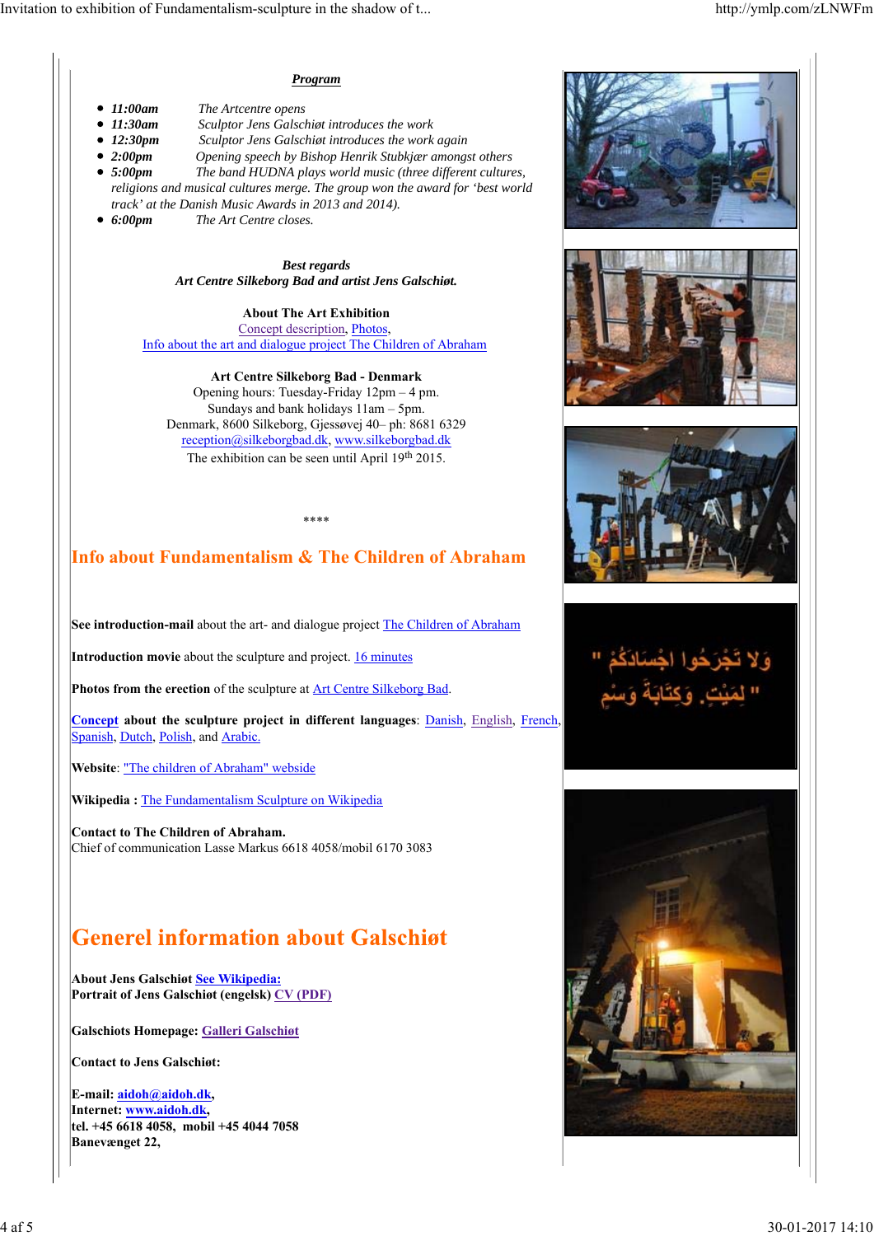#### *Program*

- *11:00am The Artcentre opens*
- *11:30am Sculptor Jens Galschiøt introduces the work*
- *12:30pm Sculptor Jens Galschiøt introduces the work again*
- *2:00pm Opening speech by Bishop Henrik Stubkjær amongst others 5:00pm The band HUDNA plays world music (three different cultures, religions and musical cultures merge. The group won the award for 'best world track' at the Danish Music Awards in 2013 and 2014).*
- *6:00pm The Art Centre closes.*

*Best regards Art Centre Silkeborg Bad and artist Jens Galschiøt.*

**About The Art Exhibition** Concept description, Photos, Info about the art and dialogue project The Children of Abraham

**Art Centre Silkeborg Bad - Denmark** Opening hours: Tuesday-Friday 12pm – 4 pm. Sundays and bank holidays 11am – 5pm. Denmark, 8600 Silkeborg, Gjessøvej 40– ph: 8681 6329 reception@silkeborgbad.dk, www.silkeborgbad.dk The exhibition can be seen until April 19<sup>th</sup> 2015.

\*\*\*\*

### **Info about Fundamentalism & The Children of Abraham**

**See introduction-mail** about the art- and dialogue project **The Children of Abraham** 

**Introduction movie** about the sculpture and project. **16 minutes** 

Photos from the erection of the sculpture at **Art Centre Silkeborg Bad**.

**Concept about the sculpture project in different languages**: Danish, English, French, Spanish, Dutch, Polish, and Arabic.

**Website**: "The children of Abraham" webside

**Wikipedia :** The Fundamentalism Sculpture on Wikipedia

**Contact to The Children of Abraham.** Chief of communication Lasse Markus 6618 4058/mobil 6170 3083

# **Generel information about Galschiøt**

**About Jens Galschiøt See Wikipedia: Portrait of Jens Galschiøt (engelsk) CV (PDF)**

**Galschiots Homepage: Galleri Galschiøt**

**Contact to Jens Galschiøt:**

**E-mail: aidoh@aidoh.dk, Internet: www.aidoh.dk, tel. +45 6618 4058, mobil +45 4044 7058 Banevænget 22,**